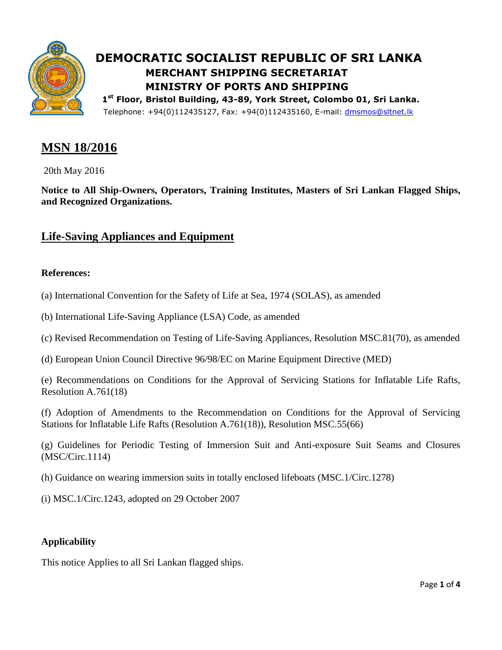

# **DEMOCRATIC SOCIALIST REPUBLIC OF SRI LANKA MERCHANT SHIPPING SECRETARIAT MINISTRY OF PORTS AND SHIPPING**

**st Floor, Bristol Building, 43-89, York Street, Colombo 01, Sri Lanka.**  Telephone: +94(0)112435127, Fax: +94(0)112435160, E-mail: [dmsmos@sltnet.lk](mailto:dmsmos@sltnet.lk)

## **MSN 18/2016**

20th May 2016

**Notice to All Ship-Owners, Operators, Training Institutes, Masters of Sri Lankan Flagged Ships, and Recognized Organizations.**

### **Life-Saving Appliances and Equipment**

#### **References:**

- (a) International Convention for the Safety of Life at Sea, 1974 (SOLAS), as amended
- (b) International Life-Saving Appliance (LSA) Code, as amended
- (c) Revised Recommendation on Testing of Life-Saving Appliances, Resolution MSC.81(70), as amended
- (d) European Union Council Directive 96/98/EC on Marine Equipment Directive (MED)

(e) Recommendations on Conditions for the Approval of Servicing Stations for Inflatable Life Rafts, Resolution A.761(18)

(f) Adoption of Amendments to the Recommendation on Conditions for the Approval of Servicing Stations for Inflatable Life Rafts (Resolution A.761(18)), Resolution MSC.55(66)

(g) Guidelines for Periodic Testing of Immersion Suit and Anti-exposure Suit Seams and Closures (MSC/Circ.1114)

(h) Guidance on wearing immersion suits in totally enclosed lifeboats (MSC.1/Circ.1278)

(i) MSC.1/Circ.1243, adopted on 29 October 2007

#### **Applicability**

This notice Applies to all Sri Lankan flagged ships.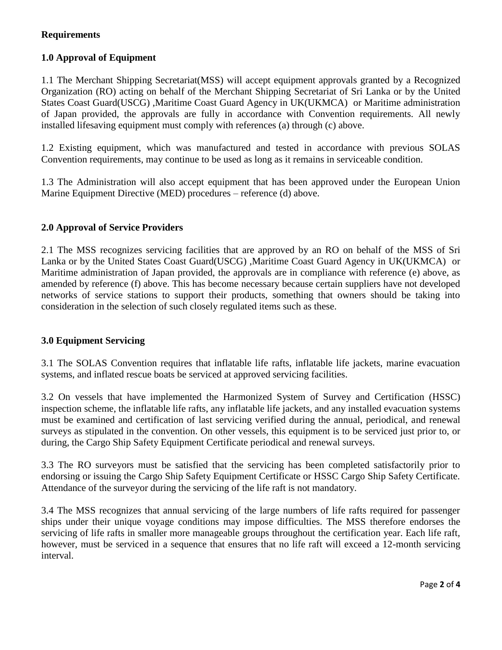#### **Requirements**

#### **1.0 Approval of Equipment**

1.1 The Merchant Shipping Secretariat(MSS) will accept equipment approvals granted by a Recognized Organization (RO) acting on behalf of the Merchant Shipping Secretariat of Sri Lanka or by the United States Coast Guard(USCG) ,Maritime Coast Guard Agency in UK(UKMCA) or Maritime administration of Japan provided, the approvals are fully in accordance with Convention requirements. All newly installed lifesaving equipment must comply with references (a) through (c) above.

1.2 Existing equipment, which was manufactured and tested in accordance with previous SOLAS Convention requirements, may continue to be used as long as it remains in serviceable condition.

1.3 The Administration will also accept equipment that has been approved under the European Union Marine Equipment Directive (MED) procedures – reference (d) above.

#### **2.0 Approval of Service Providers**

2.1 The MSS recognizes servicing facilities that are approved by an RO on behalf of the MSS of Sri Lanka or by the United States Coast Guard(USCG) ,Maritime Coast Guard Agency in UK(UKMCA) or Maritime administration of Japan provided, the approvals are in compliance with reference (e) above, as amended by reference (f) above. This has become necessary because certain suppliers have not developed networks of service stations to support their products, something that owners should be taking into consideration in the selection of such closely regulated items such as these.

#### **3.0 Equipment Servicing**

3.1 The SOLAS Convention requires that inflatable life rafts, inflatable life jackets, marine evacuation systems, and inflated rescue boats be serviced at approved servicing facilities.

3.2 On vessels that have implemented the Harmonized System of Survey and Certification (HSSC) inspection scheme, the inflatable life rafts, any inflatable life jackets, and any installed evacuation systems must be examined and certification of last servicing verified during the annual, periodical, and renewal surveys as stipulated in the convention. On other vessels, this equipment is to be serviced just prior to, or during, the Cargo Ship Safety Equipment Certificate periodical and renewal surveys.

3.3 The RO surveyors must be satisfied that the servicing has been completed satisfactorily prior to endorsing or issuing the Cargo Ship Safety Equipment Certificate or HSSC Cargo Ship Safety Certificate. Attendance of the surveyor during the servicing of the life raft is not mandatory.

3.4 The MSS recognizes that annual servicing of the large numbers of life rafts required for passenger ships under their unique voyage conditions may impose difficulties. The MSS therefore endorses the servicing of life rafts in smaller more manageable groups throughout the certification year. Each life raft, however, must be serviced in a sequence that ensures that no life raft will exceed a 12-month servicing interval.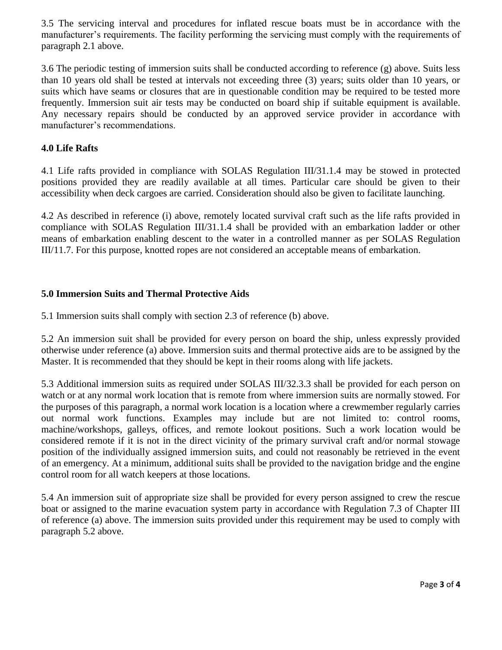3.5 The servicing interval and procedures for inflated rescue boats must be in accordance with the manufacturer's requirements. The facility performing the servicing must comply with the requirements of paragraph 2.1 above.

3.6 The periodic testing of immersion suits shall be conducted according to reference (g) above. Suits less than 10 years old shall be tested at intervals not exceeding three (3) years; suits older than 10 years, or suits which have seams or closures that are in questionable condition may be required to be tested more frequently. Immersion suit air tests may be conducted on board ship if suitable equipment is available. Any necessary repairs should be conducted by an approved service provider in accordance with manufacturer's recommendations.

#### **4.0 Life Rafts**

4.1 Life rafts provided in compliance with SOLAS Regulation III/31.1.4 may be stowed in protected positions provided they are readily available at all times. Particular care should be given to their accessibility when deck cargoes are carried. Consideration should also be given to facilitate launching.

4.2 As described in reference (i) above, remotely located survival craft such as the life rafts provided in compliance with SOLAS Regulation III/31.1.4 shall be provided with an embarkation ladder or other means of embarkation enabling descent to the water in a controlled manner as per SOLAS Regulation III/11.7. For this purpose, knotted ropes are not considered an acceptable means of embarkation.

#### **5.0 Immersion Suits and Thermal Protective Aids**

5.1 Immersion suits shall comply with section 2.3 of reference (b) above.

5.2 An immersion suit shall be provided for every person on board the ship, unless expressly provided otherwise under reference (a) above. Immersion suits and thermal protective aids are to be assigned by the Master. It is recommended that they should be kept in their rooms along with life jackets.

5.3 Additional immersion suits as required under SOLAS III/32.3.3 shall be provided for each person on watch or at any normal work location that is remote from where immersion suits are normally stowed. For the purposes of this paragraph, a normal work location is a location where a crewmember regularly carries out normal work functions. Examples may include but are not limited to: control rooms, machine/workshops, galleys, offices, and remote lookout positions. Such a work location would be considered remote if it is not in the direct vicinity of the primary survival craft and/or normal stowage position of the individually assigned immersion suits, and could not reasonably be retrieved in the event of an emergency. At a minimum, additional suits shall be provided to the navigation bridge and the engine control room for all watch keepers at those locations.

5.4 An immersion suit of appropriate size shall be provided for every person assigned to crew the rescue boat or assigned to the marine evacuation system party in accordance with Regulation 7.3 of Chapter III of reference (a) above. The immersion suits provided under this requirement may be used to comply with paragraph 5.2 above.